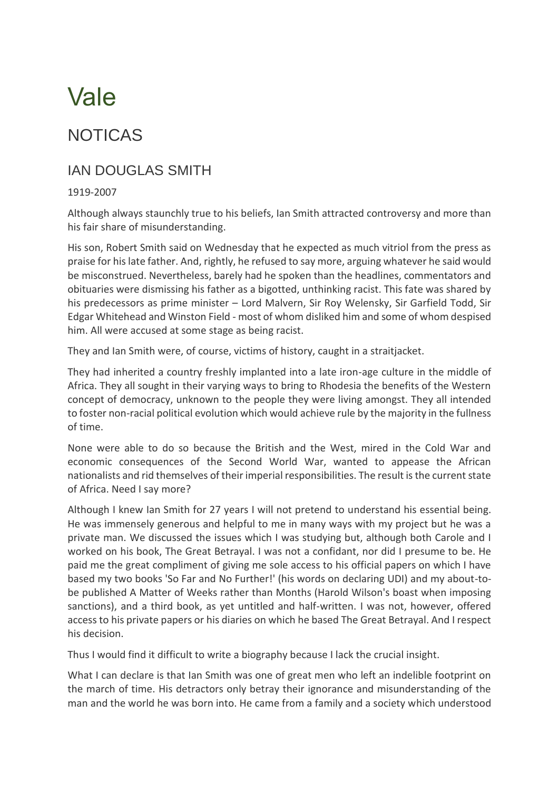## Vale

## NOTICAS

## IAN DOUGLAS SMITH

## 1919-2007

Although always staunchly true to his beliefs, Ian Smith attracted controversy and more than his fair share of misunderstanding.

His son, Robert Smith said on Wednesday that he expected as much vitriol from the press as praise for his late father. And, rightly, he refused to say more, arguing whatever he said would be misconstrued. Nevertheless, barely had he spoken than the headlines, commentators and obituaries were dismissing his father as a bigotted, unthinking racist. This fate was shared by his predecessors as prime minister – Lord Malvern, Sir Roy Welensky, Sir Garfield Todd, Sir Edgar Whitehead and Winston Field - most of whom disliked him and some of whom despised him. All were accused at some stage as being racist.

They and Ian Smith were, of course, victims of history, caught in a straitjacket.

They had inherited a country freshly implanted into a late iron-age culture in the middle of Africa. They all sought in their varying ways to bring to Rhodesia the benefits of the Western concept of democracy, unknown to the people they were living amongst. They all intended to foster non-racial political evolution which would achieve rule by the majority in the fullness of time.

None were able to do so because the British and the West, mired in the Cold War and economic consequences of the Second World War, wanted to appease the African nationalists and rid themselves of their imperial responsibilities. The result is the current state of Africa. Need I say more?

Although I knew Ian Smith for 27 years I will not pretend to understand his essential being. He was immensely generous and helpful to me in many ways with my project but he was a private man. We discussed the issues which I was studying but, although both Carole and I worked on his book, The Great Betrayal. I was not a confidant, nor did I presume to be. He paid me the great compliment of giving me sole access to his official papers on which I have based my two books 'So Far and No Further!' (his words on declaring UDI) and my about-tobe published A Matter of Weeks rather than Months (Harold Wilson's boast when imposing sanctions), and a third book, as yet untitled and half-written. I was not, however, offered access to his private papers or his diaries on which he based The Great Betrayal. And I respect his decision.

Thus I would find it difficult to write a biography because I lack the crucial insight.

What I can declare is that Ian Smith was one of great men who left an indelible footprint on the march of time. His detractors only betray their ignorance and misunderstanding of the man and the world he was born into. He came from a family and a society which understood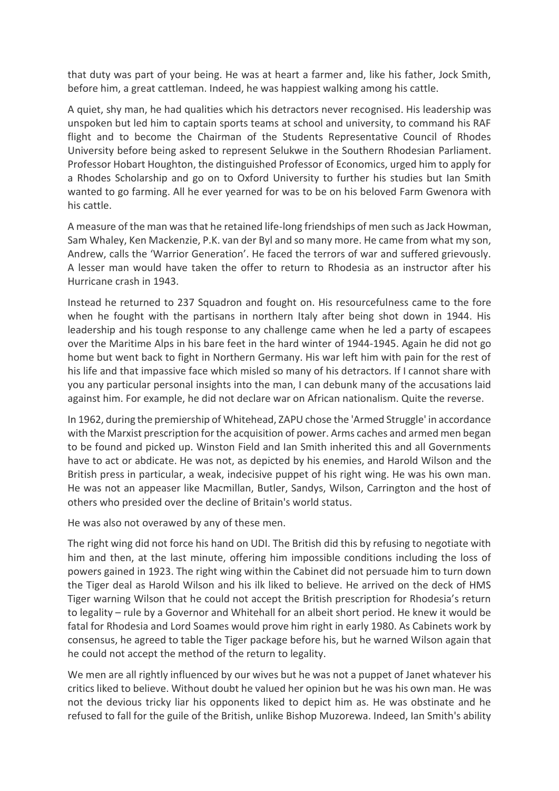that duty was part of your being. He was at heart a farmer and, like his father, Jock Smith, before him, a great cattleman. Indeed, he was happiest walking among his cattle.

A quiet, shy man, he had qualities which his detractors never recognised. His leadership was unspoken but led him to captain sports teams at school and university, to command his RAF flight and to become the Chairman of the Students Representative Council of Rhodes University before being asked to represent Selukwe in the Southern Rhodesian Parliament. Professor Hobart Houghton, the distinguished Professor of Economics, urged him to apply for a Rhodes Scholarship and go on to Oxford University to further his studies but Ian Smith wanted to go farming. All he ever yearned for was to be on his beloved Farm Gwenora with his cattle.

A measure of the man was that he retained life-long friendships of men such as Jack Howman, Sam Whaley, Ken Mackenzie, P.K. van der Byl and so many more. He came from what my son, Andrew, calls the 'Warrior Generation'. He faced the terrors of war and suffered grievously. A lesser man would have taken the offer to return to Rhodesia as an instructor after his Hurricane crash in 1943.

Instead he returned to 237 Squadron and fought on. His resourcefulness came to the fore when he fought with the partisans in northern Italy after being shot down in 1944. His leadership and his tough response to any challenge came when he led a party of escapees over the Maritime Alps in his bare feet in the hard winter of 1944-1945. Again he did not go home but went back to fight in Northern Germany. His war left him with pain for the rest of his life and that impassive face which misled so many of his detractors. If I cannot share with you any particular personal insights into the man, I can debunk many of the accusations laid against him. For example, he did not declare war on African nationalism. Quite the reverse.

In 1962, during the premiership of Whitehead, ZAPU chose the 'Armed Struggle' in accordance with the Marxist prescription for the acquisition of power. Arms caches and armed men began to be found and picked up. Winston Field and Ian Smith inherited this and all Governments have to act or abdicate. He was not, as depicted by his enemies, and Harold Wilson and the British press in particular, a weak, indecisive puppet of his right wing. He was his own man. He was not an appeaser like Macmillan, Butler, Sandys, Wilson, Carrington and the host of others who presided over the decline of Britain's world status.

He was also not overawed by any of these men.

The right wing did not force his hand on UDI. The British did this by refusing to negotiate with him and then, at the last minute, offering him impossible conditions including the loss of powers gained in 1923. The right wing within the Cabinet did not persuade him to turn down the Tiger deal as Harold Wilson and his ilk liked to believe. He arrived on the deck of HMS Tiger warning Wilson that he could not accept the British prescription for Rhodesia's return to legality – rule by a Governor and Whitehall for an albeit short period. He knew it would be fatal for Rhodesia and Lord Soames would prove him right in early 1980. As Cabinets work by consensus, he agreed to table the Tiger package before his, but he warned Wilson again that he could not accept the method of the return to legality.

We men are all rightly influenced by our wives but he was not a puppet of Janet whatever his critics liked to believe. Without doubt he valued her opinion but he was his own man. He was not the devious tricky liar his opponents liked to depict him as. He was obstinate and he refused to fall for the guile of the British, unlike Bishop Muzorewa. Indeed, Ian Smith's ability